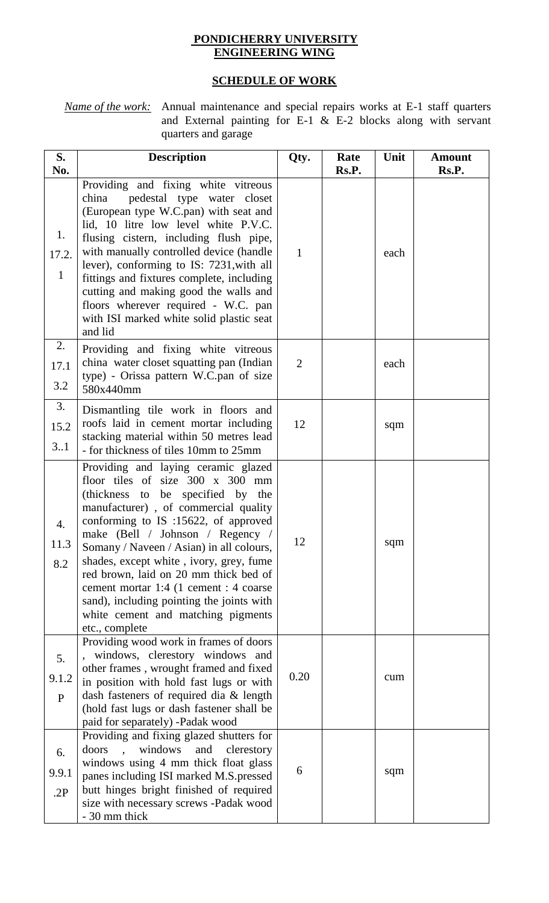## **PONDICHERRY UNIVERSITY ENGINEERING WING**

## **SCHEDULE OF WORK**

*Name of the work:* Annual maintenance and special repairs works at E-1 staff quarters and External painting for E-1  $\&$  E-2 blocks along with servant quarters and garage

| S.<br>No.                       | <b>Description</b>                                                                                                                                                                                                                                                                                                                                                                                                                                                                                              | Qty.           | Rate<br>Rs.P. | Unit | <b>Amount</b><br>Rs.P. |
|---------------------------------|-----------------------------------------------------------------------------------------------------------------------------------------------------------------------------------------------------------------------------------------------------------------------------------------------------------------------------------------------------------------------------------------------------------------------------------------------------------------------------------------------------------------|----------------|---------------|------|------------------------|
| 1.<br>17.2.<br>$\mathbf{1}$     | Providing and fixing white vitreous<br>pedestal type water closet<br>china<br>(European type W.C.pan) with seat and<br>lid, 10 litre low level white P.V.C.<br>flusing cistern, including flush pipe,<br>with manually controlled device (handle<br>lever), conforming to IS: 7231, with all<br>fittings and fixtures complete, including<br>cutting and making good the walls and<br>floors wherever required - W.C. pan<br>with ISI marked white solid plastic seat<br>and lid                                | $\mathbf{1}$   |               | each |                        |
| 2.<br>17.1<br>3.2               | Providing and fixing white vitreous<br>china water closet squatting pan (Indian<br>type) - Orissa pattern W.C.pan of size<br>580x440mm                                                                                                                                                                                                                                                                                                                                                                          | $\overline{2}$ |               | each |                        |
| 3.<br>15.2<br>3.1               | Dismantling tile work in floors and<br>roofs laid in cement mortar including<br>stacking material within 50 metres lead<br>- for thickness of tiles 10mm to 25mm                                                                                                                                                                                                                                                                                                                                                | 12             |               | sqm  |                        |
| $\overline{4}$ .<br>11.3<br>8.2 | Providing and laying ceramic glazed<br>floor tiles of size 300 x 300 mm<br>(thickness to be specified by the<br>manufacturer), of commercial quality<br>conforming to IS :15622, of approved<br>make (Bell / Johnson / Regency /<br>Somany / Naveen / Asian) in all colours,<br>shades, except white, ivory, grey, fume<br>red brown, laid on 20 mm thick bed of<br>cement mortar 1:4 (1 cement : 4 coarse<br>sand), including pointing the joints with<br>white cement and matching pigments<br>etc., complete | 12             |               | sqm  |                        |
| 5.<br>9.1.2<br>P                | Providing wood work in frames of doors<br>windows, clerestory windows and<br>other frames, wrought framed and fixed<br>in position with hold fast lugs or with<br>dash fasteners of required dia & length<br>(hold fast lugs or dash fastener shall be<br>paid for separately) -Padak wood                                                                                                                                                                                                                      | 0.20           |               | cum  |                        |
| 6.<br>9.9.1<br>.2P              | Providing and fixing glazed shutters for<br>windows<br>doors<br>and<br>clerestory<br>windows using 4 mm thick float glass<br>panes including ISI marked M.S.pressed<br>butt hinges bright finished of required<br>size with necessary screws -Padak wood<br>- 30 mm thick                                                                                                                                                                                                                                       | 6              |               | sqm  |                        |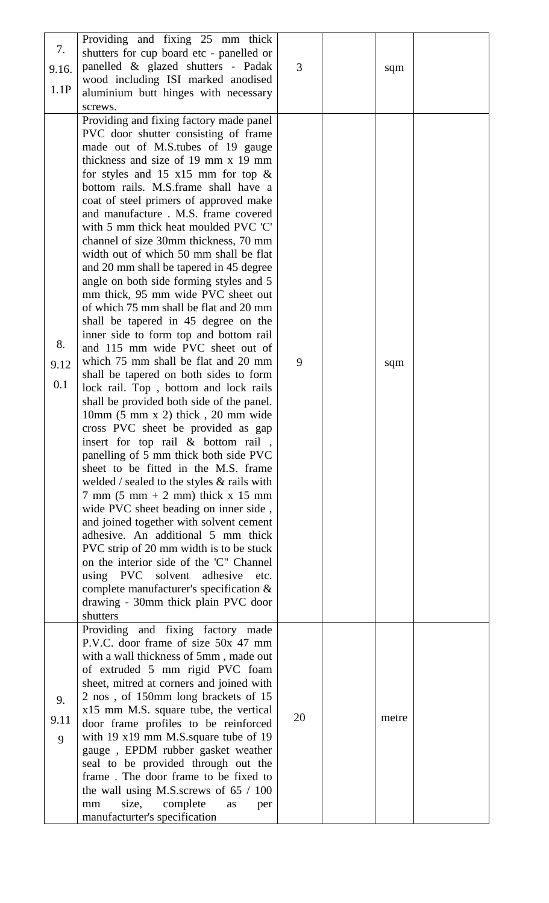| 7.<br>9.16.<br>1.1P | Providing and fixing 25 mm thick<br>shutters for cup board etc - panelled or<br>panelled & glazed shutters - Padak<br>wood including ISI marked anodised<br>aluminium butt hinges with necessary<br>screws.                                                                                                                                                                                                                                                                                                                                                                                                                                                                                                                                                                                                                                                                                                                                                                                                                                                                                                                                                                                                                                                                                                                                                                                                                                                                                                                                                                     | 3  | sqm   |  |
|---------------------|---------------------------------------------------------------------------------------------------------------------------------------------------------------------------------------------------------------------------------------------------------------------------------------------------------------------------------------------------------------------------------------------------------------------------------------------------------------------------------------------------------------------------------------------------------------------------------------------------------------------------------------------------------------------------------------------------------------------------------------------------------------------------------------------------------------------------------------------------------------------------------------------------------------------------------------------------------------------------------------------------------------------------------------------------------------------------------------------------------------------------------------------------------------------------------------------------------------------------------------------------------------------------------------------------------------------------------------------------------------------------------------------------------------------------------------------------------------------------------------------------------------------------------------------------------------------------------|----|-------|--|
| 8.<br>9.12<br>0.1   | Providing and fixing factory made panel<br>PVC door shutter consisting of frame<br>made out of M.S.tubes of 19 gauge<br>thickness and size of 19 mm x 19 mm<br>for styles and 15 $x15$ mm for top &<br>bottom rails. M.S.frame shall have a<br>coat of steel primers of approved make<br>and manufacture. M.S. frame covered<br>with 5 mm thick heat moulded PVC 'C'<br>channel of size 30mm thickness, 70 mm<br>width out of which 50 mm shall be flat<br>and 20 mm shall be tapered in 45 degree<br>angle on both side forming styles and 5<br>mm thick, 95 mm wide PVC sheet out<br>of which 75 mm shall be flat and 20 mm<br>shall be tapered in 45 degree on the<br>inner side to form top and bottom rail<br>and 115 mm wide PVC sheet out of<br>which 75 mm shall be flat and 20 mm<br>shall be tapered on both sides to form<br>lock rail. Top, bottom and lock rails<br>shall be provided both side of the panel.<br>10mm (5 mm x 2) thick, 20 mm wide<br>cross PVC sheet be provided as gap<br>insert for top rail & bottom rail,<br>panelling of 5 mm thick both side PVC<br>sheet to be fitted in the M.S. frame<br>welded / sealed to the styles & rails with<br>$7 \text{ mm}$ (5 mm + 2 mm) thick x 15 mm<br>wide PVC sheet beading on inner side,<br>and joined together with solvent cement<br>adhesive. An additional 5 mm thick<br>PVC strip of 20 mm width is to be stuck<br>on the interior side of the 'C" Channel<br>using PVC solvent<br>adhesive<br>etc.<br>complete manufacturer's specification &<br>drawing - 30mm thick plain PVC door<br>shutters | 9  | sqm   |  |
| 9.<br>9.11<br>9     | Providing and fixing factory made<br>P.V.C. door frame of size 50x 47 mm<br>with a wall thickness of 5mm, made out<br>of extruded 5 mm rigid PVC foam<br>sheet, mitred at corners and joined with<br>2 nos, of 150mm long brackets of 15<br>x15 mm M.S. square tube, the vertical<br>door frame profiles to be reinforced<br>with 19 x19 mm M.S.square tube of 19<br>gauge, EPDM rubber gasket weather<br>seal to be provided through out the<br>frame. The door frame to be fixed to<br>the wall using M.S. screws of $65 / 100$<br>size,<br>complete<br>mm<br>as<br>per<br>manufacturter's specification                                                                                                                                                                                                                                                                                                                                                                                                                                                                                                                                                                                                                                                                                                                                                                                                                                                                                                                                                                      | 20 | metre |  |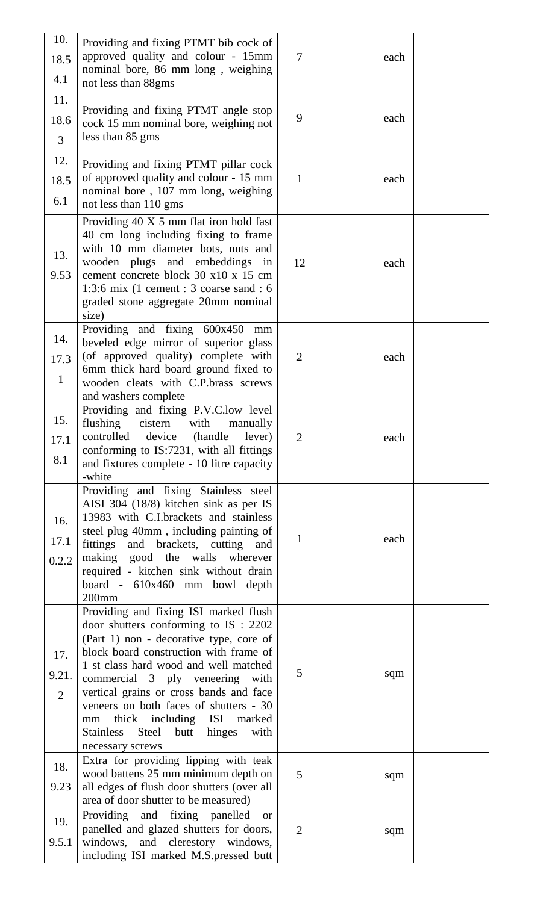| 10.<br>18.5    | Providing and fixing PTMT bib cock of<br>approved quality and colour - 15mm<br>nominal bore, 86 mm long, weighing | $\tau$          | each |  |
|----------------|-------------------------------------------------------------------------------------------------------------------|-----------------|------|--|
| 4.1            | not less than 88gms                                                                                               |                 |      |  |
| 11.            |                                                                                                                   |                 |      |  |
| 18.6           | Providing and fixing PTMT angle stop<br>cock 15 mm nominal bore, weighing not                                     | 9               | each |  |
| $\overline{3}$ | less than 85 gms                                                                                                  |                 |      |  |
| 12.            | Providing and fixing PTMT pillar cock                                                                             |                 |      |  |
| 18.5           | of approved quality and colour - 15 mm                                                                            | $\mathbf{1}$    | each |  |
| 6.1            | nominal bore, 107 mm long, weighing                                                                               |                 |      |  |
|                | not less than 110 gms                                                                                             |                 |      |  |
|                | Providing 40 X 5 mm flat iron hold fast<br>40 cm long including fixing to frame                                   |                 |      |  |
| 13.            | with 10 mm diameter bots, nuts and                                                                                |                 |      |  |
|                | wooden plugs and embeddings in                                                                                    | 12              | each |  |
| 9.53           | cement concrete block 30 x 10 x 15 cm<br>1:3:6 mix (1 cement : 3 coarse sand : 6                                  |                 |      |  |
|                | graded stone aggregate 20mm nominal                                                                               |                 |      |  |
|                | size)                                                                                                             |                 |      |  |
| 14.            | Providing and fixing 600x450<br>mm<br>beveled edge mirror of superior glass                                       |                 |      |  |
| 17.3           | (of approved quality) complete with                                                                               | $\overline{2}$  | each |  |
| $\mathbf{1}$   | 6mm thick hard board ground fixed to                                                                              |                 |      |  |
|                | wooden cleats with C.P.brass screws<br>and washers complete                                                       |                 |      |  |
|                | Providing and fixing P.V.C.low level                                                                              |                 |      |  |
| 15.            | flushing<br>cistern<br>with<br>manually                                                                           |                 |      |  |
| 17.1           | controlled<br>device<br>(handle lever)<br>conforming to IS:7231, with all fittings                                | $\overline{2}$  | each |  |
| 8.1            | and fixtures complete - 10 litre capacity                                                                         |                 |      |  |
|                | -white                                                                                                            |                 |      |  |
|                | Providing and fixing Stainless steel<br>AISI 304 (18/8) kitchen sink as per IS                                    |                 |      |  |
| 16.            | 13983 with C.I.brackets and stainless                                                                             |                 |      |  |
| 17.1           | steel plug 40mm, including painting of                                                                            | $\mathbf{1}$    | each |  |
| 0.2.2          | fittings<br>and brackets, cutting<br>and<br>making good the walls wherever                                        |                 |      |  |
|                | required - kitchen sink without drain                                                                             |                 |      |  |
|                | board - 610x460 mm bowl depth                                                                                     |                 |      |  |
|                | $200$ mm<br>Providing and fixing ISI marked flush                                                                 |                 |      |  |
|                | door shutters conforming to $IS: 2202$                                                                            |                 |      |  |
|                | (Part 1) non - decorative type, core of                                                                           |                 |      |  |
| 17.            | block board construction with frame of<br>1 st class hard wood and well matched                                   |                 |      |  |
| 9.21.          | commercial 3 ply veneering with                                                                                   | 5               | sqm  |  |
| $\overline{2}$ | vertical grains or cross bands and face<br>veneers on both faces of shutters - 30                                 |                 |      |  |
|                | thick including ISI marked<br>mm                                                                                  |                 |      |  |
|                | butt hinges<br><b>Stainless</b><br>Steel<br>with                                                                  |                 |      |  |
|                | necessary screws                                                                                                  |                 |      |  |
| 18.            | Extra for providing lipping with teak<br>wood battens 25 mm minimum depth on                                      | $5\overline{)}$ | sqm  |  |
| 9.23           | all edges of flush door shutters (over all                                                                        |                 |      |  |
|                | area of door shutter to be measured)<br>Providing and fixing panelled                                             |                 |      |  |
| 19.            | <sub>or</sub><br>panelled and glazed shutters for doors,                                                          | 2               | sqm  |  |
| 9.5.1          | windows,<br>and clerestory windows,                                                                               |                 |      |  |
|                | including ISI marked M.S.pressed butt                                                                             |                 |      |  |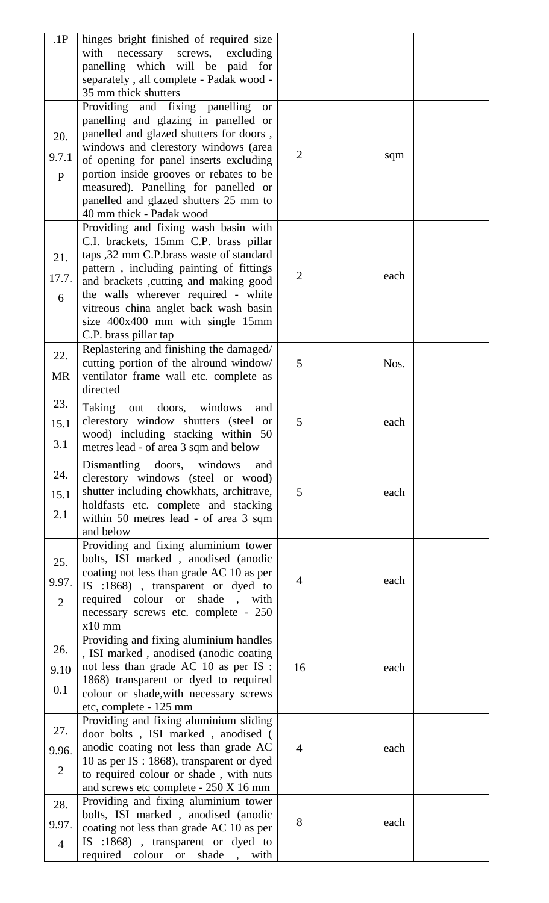| .1P            |                                                                     |                |      |  |
|----------------|---------------------------------------------------------------------|----------------|------|--|
|                | hinges bright finished of required size                             |                |      |  |
|                | with<br>necessary<br>screws,<br>excluding                           |                |      |  |
|                | panelling which will be paid for                                    |                |      |  |
|                | separately, all complete - Padak wood -                             |                |      |  |
|                | 35 mm thick shutters                                                |                |      |  |
|                |                                                                     |                |      |  |
|                | Providing and fixing panelling<br><b>or</b>                         |                |      |  |
|                | panelling and glazing in panelled or                                |                |      |  |
|                | panelled and glazed shutters for doors,                             |                |      |  |
| 20.            |                                                                     |                |      |  |
| 9.7.1          | windows and clerestory windows (area                                | $\overline{2}$ | sqm  |  |
|                | of opening for panel inserts excluding                              |                |      |  |
| P              | portion inside grooves or rebates to be                             |                |      |  |
|                | measured). Panelling for panelled or                                |                |      |  |
|                |                                                                     |                |      |  |
|                | panelled and glazed shutters 25 mm to                               |                |      |  |
|                | 40 mm thick - Padak wood                                            |                |      |  |
|                | Providing and fixing wash basin with                                |                |      |  |
|                | C.I. brackets, 15mm C.P. brass pillar                               |                |      |  |
|                |                                                                     |                |      |  |
| 21.            | taps ,32 mm C.P.brass waste of standard                             |                |      |  |
|                | pattern, including painting of fittings                             |                |      |  |
| 17.7.          | and brackets ,cutting and making good                               | $\overline{2}$ | each |  |
|                | the walls wherever required - white                                 |                |      |  |
| 6              |                                                                     |                |      |  |
|                | vitreous china anglet back wash basin                               |                |      |  |
|                | size 400x400 mm with single 15mm                                    |                |      |  |
|                | C.P. brass pillar tap                                               |                |      |  |
|                | Replastering and finishing the damaged/                             |                |      |  |
| 22.            |                                                                     |                |      |  |
|                | cutting portion of the alround window/                              | 5              | Nos. |  |
| <b>MR</b>      | ventilator frame wall etc. complete as                              |                |      |  |
|                | directed                                                            |                |      |  |
| 23.            |                                                                     |                |      |  |
|                | Taking<br>out doors, windows<br>and                                 |                |      |  |
| 15.1           | clerestory window shutters (steel or                                | 5              | each |  |
|                | wood) including stacking within 50                                  |                |      |  |
| 3.1            |                                                                     |                |      |  |
|                | metres lead - of area 3 sqm and below                               |                |      |  |
|                | Dismantling<br>doors,<br>windows<br>and                             |                |      |  |
| 24.            | clerestory windows (steel or wood)                                  |                |      |  |
|                |                                                                     |                |      |  |
| 15.1           | shutter including chowkhats, architrave,                            | 5              | each |  |
|                | holdfasts etc. complete and stacking                                |                |      |  |
| 2.1            |                                                                     |                |      |  |
|                |                                                                     |                |      |  |
|                | within 50 metres lead - of area 3 sqm                               |                |      |  |
|                | and below                                                           |                |      |  |
|                | Providing and fixing aluminium tower                                |                |      |  |
|                | bolts, ISI marked, anodised (anodic                                 |                |      |  |
| 25.            |                                                                     |                |      |  |
| 9.97.          | coating not less than grade AC 10 as per                            | $\overline{4}$ | each |  |
|                | IS :1868), transparent or dyed to                                   |                |      |  |
| $\overline{2}$ | required colour or<br>shade,<br>with                                |                |      |  |
|                | necessary screws etc. complete - 250                                |                |      |  |
|                | $x10$ mm                                                            |                |      |  |
|                |                                                                     |                |      |  |
|                | Providing and fixing aluminium handles                              |                |      |  |
| 26.            | , ISI marked, anodised (anodic coating                              |                |      |  |
| 9.10           | not less than grade AC 10 as per IS :                               | 16             | each |  |
|                | 1868) transparent or dyed to required                               |                |      |  |
| 0.1            |                                                                     |                |      |  |
|                | colour or shade, with necessary screws                              |                |      |  |
|                | etc, complete - 125 mm                                              |                |      |  |
|                | Providing and fixing aluminium sliding                              |                |      |  |
| 27.            | door bolts, ISI marked, anodised (                                  |                |      |  |
|                |                                                                     |                |      |  |
| 9.96.          | anodic coating not less than grade AC                               | $\overline{4}$ | each |  |
|                | 10 as per IS : 1868), transparent or dyed                           |                |      |  |
| $\overline{2}$ | to required colour or shade, with nuts                              |                |      |  |
|                | and screws etc complete - 250 X 16 mm                               |                |      |  |
|                |                                                                     |                |      |  |
| 28.            | Providing and fixing aluminium tower                                |                |      |  |
|                | bolts, ISI marked, anodised (anodic                                 | 8              | each |  |
| 9.97.          | coating not less than grade AC 10 as per                            |                |      |  |
| $\overline{4}$ | IS :1868), transparent or dyed to<br>required colour or shade, with |                |      |  |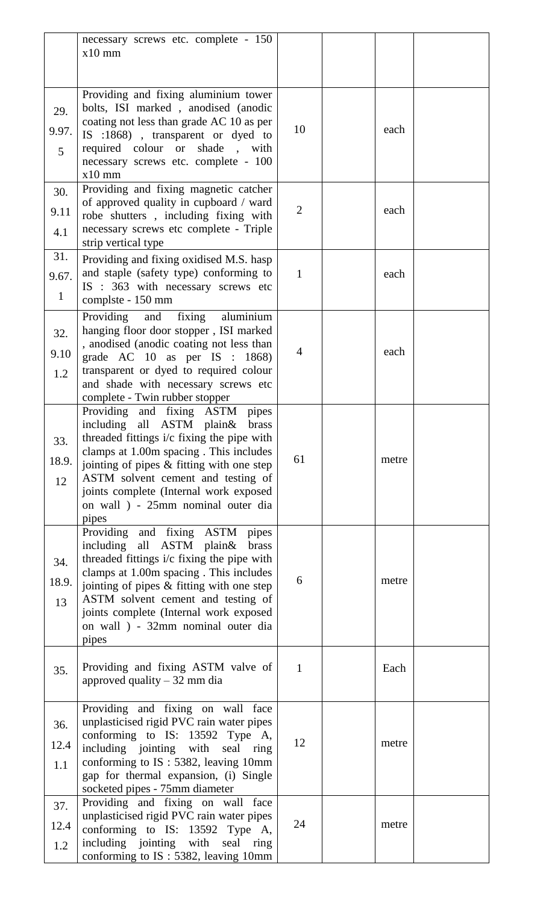|                | necessary screws etc. complete - 150<br>$x10$ mm                                       |                |       |  |
|----------------|----------------------------------------------------------------------------------------|----------------|-------|--|
|                |                                                                                        |                |       |  |
|                | Providing and fixing aluminium tower                                                   |                |       |  |
| 29.            | bolts, ISI marked, anodised (anodic                                                    |                |       |  |
| 9.97.          | coating not less than grade AC 10 as per<br>IS :1868), transparent or dyed to          | 10             | each  |  |
| $\overline{5}$ | required colour or<br>shade<br>with                                                    |                |       |  |
|                | necessary screws etc. complete - 100<br>$x10$ mm                                       |                |       |  |
| 30.            | Providing and fixing magnetic catcher                                                  |                |       |  |
| 9.11           | of approved quality in cupboard / ward<br>robe shutters, including fixing with         | $\overline{2}$ | each  |  |
| 4.1            | necessary screws etc complete - Triple                                                 |                |       |  |
| 31.            | strip vertical type                                                                    |                |       |  |
| 9.67.          | Providing and fixing oxidised M.S. hasp<br>and staple (safety type) conforming to      | $\mathbf{1}$   | each  |  |
|                | IS : 363 with necessary screws etc                                                     |                |       |  |
| $\mathbf{1}$   | complste - 150 mm                                                                      |                |       |  |
| 32.            | Providing and fixing aluminium<br>hanging floor door stopper, ISI marked               |                |       |  |
| 9.10           | , anodised (anodic coating not less than                                               | $\overline{4}$ | each  |  |
| 1.2            | grade AC $10$ as per IS : $1868$ )<br>transparent or dyed to required colour           |                |       |  |
|                | and shade with necessary screws etc                                                    |                |       |  |
|                | complete - Twin rubber stopper<br>Providing and fixing ASTM<br>pipes                   |                |       |  |
|                | including<br>all ASTM<br>plain&<br>brass                                               |                |       |  |
| 33.            | threaded fittings i/c fixing the pipe with<br>clamps at 1.00m spacing. This includes   |                |       |  |
| 18.9.          | jointing of pipes & fitting with one step                                              | 61             | metre |  |
| 12             | ASTM solvent cement and testing of                                                     |                |       |  |
|                | joints complete (Internal work exposed<br>on wall ) - 25mm nominal outer dia           |                |       |  |
|                | pipes                                                                                  |                |       |  |
|                | Providing and fixing ASTM pipes<br>including all ASTM plain &<br>brass                 |                |       |  |
| 34.            | threaded fittings i/c fixing the pipe with                                             |                |       |  |
| 18.9.          | clamps at 1.00m spacing. This includes<br>jointing of pipes $\&$ fitting with one step | 6              | metre |  |
| 13             | ASTM solvent cement and testing of                                                     |                |       |  |
|                | joints complete (Internal work exposed<br>on wall ) - 32mm nominal outer dia           |                |       |  |
|                | pipes                                                                                  |                |       |  |
|                | Providing and fixing ASTM valve of                                                     | $\mathbf{1}$   | Each  |  |
| 35.            | approved quality $-32$ mm dia                                                          |                |       |  |
|                | Providing and fixing on wall face                                                      |                |       |  |
| 36.            | unplasticised rigid PVC rain water pipes                                               |                |       |  |
| 12.4           | conforming to IS: 13592 Type A,                                                        | 12             | metre |  |
| 1.1            | including jointing with seal<br>ring<br>conforming to IS: 5382, leaving 10mm           |                |       |  |
|                | gap for thermal expansion, (i) Single                                                  |                |       |  |
| 37.            | socketed pipes - 75mm diameter<br>Providing and fixing on wall face                    |                |       |  |
|                | unplasticised rigid PVC rain water pipes                                               | 24             | metre |  |
| 12.4           | conforming to IS: 13592 Type A,<br>including jointing with seal ring                   |                |       |  |
| 1.2            | conforming to IS: 5382, leaving 10mm                                                   |                |       |  |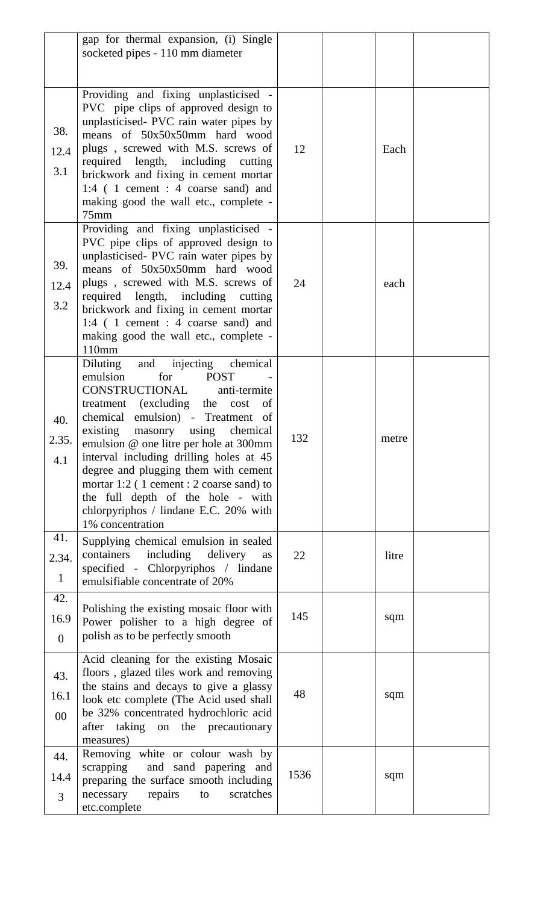|                              | gap for thermal expansion, (i) Single                                                                                                                                                                                                                                                                                                                                                                                                                                                                 |      |       |  |
|------------------------------|-------------------------------------------------------------------------------------------------------------------------------------------------------------------------------------------------------------------------------------------------------------------------------------------------------------------------------------------------------------------------------------------------------------------------------------------------------------------------------------------------------|------|-------|--|
|                              | socketed pipes - 110 mm diameter                                                                                                                                                                                                                                                                                                                                                                                                                                                                      |      |       |  |
|                              |                                                                                                                                                                                                                                                                                                                                                                                                                                                                                                       |      |       |  |
| 38.<br>12.4<br>3.1           | Providing and fixing unplasticised -<br>PVC pipe clips of approved design to<br>unplasticised- PVC rain water pipes by<br>means of 50x50x50mm hard wood<br>plugs, screwed with M.S. screws of<br>required length, including cutting<br>brickwork and fixing in cement mortar<br>1:4 (1 cement : 4 coarse sand) and<br>making good the wall etc., complete -<br>$75$ mm                                                                                                                                | 12   | Each  |  |
| 39.<br>12.4<br>3.2           | Providing and fixing unplasticised -<br>PVC pipe clips of approved design to<br>unplasticised- PVC rain water pipes by<br>means of 50x50x50mm hard wood<br>plugs, screwed with M.S. screws of<br>required length, including cutting<br>brickwork and fixing in cement mortar<br>1:4 ( 1 cement : 4 coarse sand) and<br>making good the wall etc., complete -<br>110mm                                                                                                                                 | 24   | each  |  |
| 40.<br>2.35.<br>4.1          | and injecting chemical<br>Diluting<br>emulsion<br>for<br><b>POST</b><br>CONSTRUCTIONAL<br>anti-termite<br>treatment (excluding the<br>cost<br>of<br>chemical emulsion) - Treatment of<br>existing masonry using chemical<br>emulsion @ one litre per hole at 300mm<br>interval including drilling holes at 45<br>degree and plugging them with cement<br>mortar $1:2$ (1 cement : 2 coarse sand) to<br>the full depth of the hole - with<br>chlorpyriphos / lindane E.C. 20% with<br>1% concentration | 132  | metre |  |
| 41.<br>2.34.<br>$\mathbf{1}$ | Supplying chemical emulsion in sealed<br>containers including delivery<br>as<br>specified - Chlorpyriphos / lindane<br>emulsifiable concentrate of 20%                                                                                                                                                                                                                                                                                                                                                | 22   | litre |  |
| 42.<br>16.9<br>$\theta$      | Polishing the existing mosaic floor with<br>Power polisher to a high degree of<br>polish as to be perfectly smooth                                                                                                                                                                                                                                                                                                                                                                                    | 145  | sqm   |  |
| 43.<br>16.1<br>$00\,$        | Acid cleaning for the existing Mosaic<br>floors, glazed tiles work and removing<br>the stains and decays to give a glassy<br>look etc complete (The Acid used shall<br>be 32% concentrated hydrochloric acid<br>after taking on the precautionary<br>measures)                                                                                                                                                                                                                                        | 48   | sqm   |  |
| 44.<br>14.4<br>3             | Removing white or colour wash by<br>scrapping<br>and sand papering and<br>preparing the surface smooth including<br>necessary<br>repairs<br>scratches<br>to<br>etc.complete                                                                                                                                                                                                                                                                                                                           | 1536 | sqm   |  |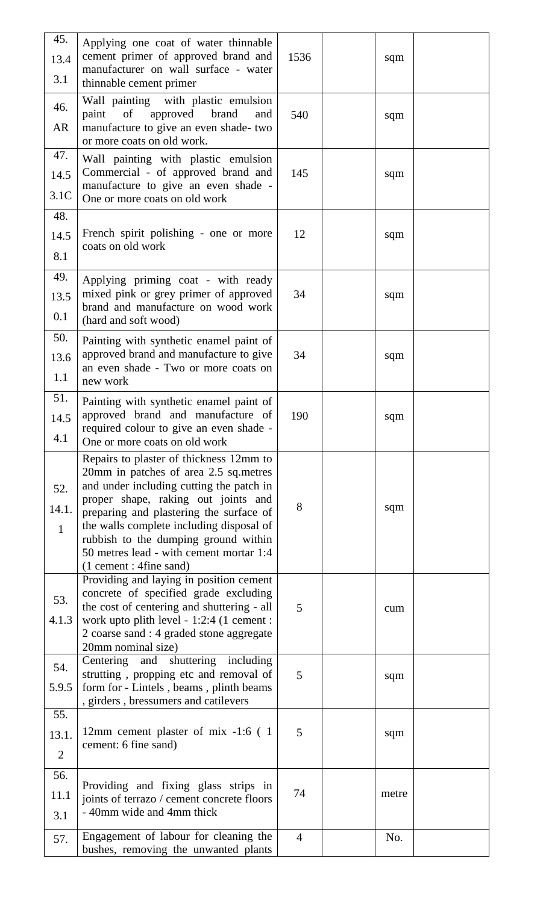| 45.<br>13.4<br>3.1             | Applying one coat of water thinnable<br>cement primer of approved brand and<br>manufacturer on wall surface - water<br>thinnable cement primer                                                                                                                                                                                                                            | 1536           | sqm   |  |
|--------------------------------|---------------------------------------------------------------------------------------------------------------------------------------------------------------------------------------------------------------------------------------------------------------------------------------------------------------------------------------------------------------------------|----------------|-------|--|
| 46.<br>AR                      | Wall painting with plastic emulsion<br>paint of<br>approved brand<br>and<br>manufacture to give an even shade- two<br>or more coats on old work.                                                                                                                                                                                                                          | 540            | sqm   |  |
| 47.<br>14.5<br>3.1C            | Wall painting with plastic emulsion<br>Commercial - of approved brand and<br>manufacture to give an even shade -<br>One or more coats on old work                                                                                                                                                                                                                         | 145            | sqm   |  |
| 48.<br>14.5<br>8.1             | French spirit polishing - one or more<br>coats on old work                                                                                                                                                                                                                                                                                                                | 12             | sqm   |  |
| 49.<br>13.5<br>0.1             | Applying priming coat - with ready<br>mixed pink or grey primer of approved<br>brand and manufacture on wood work<br>(hard and soft wood)                                                                                                                                                                                                                                 | 34             | sqm   |  |
| 50.<br>13.6<br>1.1             | Painting with synthetic enamel paint of<br>approved brand and manufacture to give<br>an even shade - Two or more coats on<br>new work                                                                                                                                                                                                                                     | 34             | sqm   |  |
| 51.<br>14.5<br>4.1             | Painting with synthetic enamel paint of<br>approved brand and manufacture of<br>required colour to give an even shade -<br>One or more coats on old work                                                                                                                                                                                                                  | 190            | sqm   |  |
| 52.<br>14.1.<br>$\mathbf{1}$   | Repairs to plaster of thickness 12mm to<br>20mm in patches of area 2.5 sq. metres<br>and under including cutting the patch in<br>proper shape, raking out joints and<br>preparing and plastering the surface of<br>the walls complete including disposal of<br>rubbish to the dumping ground within<br>50 metres lead - with cement mortar 1:4<br>(1 cement : 4fine sand) | 8              | sqm   |  |
| 53.<br>4.1.3                   | Providing and laying in position cement<br>concrete of specified grade excluding<br>the cost of centering and shuttering - all<br>work upto plith level - 1:2:4 (1 cement :<br>2 coarse sand : 4 graded stone aggregate<br>20mm nominal size)                                                                                                                             | 5              | cum   |  |
| 54.<br>5.9.5                   | Centering and shuttering including<br>strutting, propping etc and removal of<br>form for - Lintels, beams, plinth beams<br>s girders, bressumers and catilevers                                                                                                                                                                                                           | 5              | sqm   |  |
| 55.<br>13.1.<br>$\overline{2}$ | 12mm cement plaster of mix -1:6 (1)<br>cement: 6 fine sand)                                                                                                                                                                                                                                                                                                               | 5              | sqm   |  |
| 56.<br>11.1<br>3.1             | Providing and fixing glass strips in<br>joints of terrazo / cement concrete floors<br>- 40mm wide and 4mm thick                                                                                                                                                                                                                                                           | 74             | metre |  |
| 57.                            | Engagement of labour for cleaning the<br>bushes, removing the unwanted plants                                                                                                                                                                                                                                                                                             | $\overline{4}$ | No.   |  |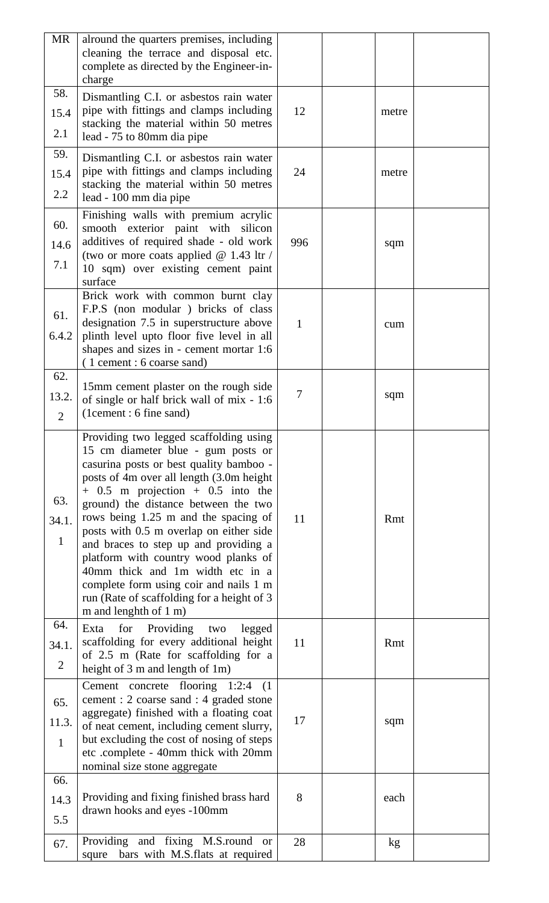| MR                           | alround the quarters premises, including<br>cleaning the terrace and disposal etc.<br>complete as directed by the Engineer-in-                                                                                                                                                                                                                                                                                                                                                                                                                                                 |              |       |  |
|------------------------------|--------------------------------------------------------------------------------------------------------------------------------------------------------------------------------------------------------------------------------------------------------------------------------------------------------------------------------------------------------------------------------------------------------------------------------------------------------------------------------------------------------------------------------------------------------------------------------|--------------|-------|--|
|                              | charge                                                                                                                                                                                                                                                                                                                                                                                                                                                                                                                                                                         |              |       |  |
| 58.                          | Dismantling C.I. or asbestos rain water                                                                                                                                                                                                                                                                                                                                                                                                                                                                                                                                        |              |       |  |
| 15.4                         | pipe with fittings and clamps including                                                                                                                                                                                                                                                                                                                                                                                                                                                                                                                                        | 12           | metre |  |
| 2.1                          | stacking the material within 50 metres<br>lead - 75 to 80mm dia pipe                                                                                                                                                                                                                                                                                                                                                                                                                                                                                                           |              |       |  |
| 59.                          | Dismantling C.I. or asbestos rain water                                                                                                                                                                                                                                                                                                                                                                                                                                                                                                                                        |              |       |  |
| 15.4                         | pipe with fittings and clamps including                                                                                                                                                                                                                                                                                                                                                                                                                                                                                                                                        | 24           | metre |  |
| 2.2                          | stacking the material within 50 metres                                                                                                                                                                                                                                                                                                                                                                                                                                                                                                                                         |              |       |  |
|                              | lead - 100 mm dia pipe                                                                                                                                                                                                                                                                                                                                                                                                                                                                                                                                                         |              |       |  |
|                              | Finishing walls with premium acrylic                                                                                                                                                                                                                                                                                                                                                                                                                                                                                                                                           |              |       |  |
| 60.                          | smooth exterior paint with silicon                                                                                                                                                                                                                                                                                                                                                                                                                                                                                                                                             |              |       |  |
| 14.6                         | additives of required shade - old work                                                                                                                                                                                                                                                                                                                                                                                                                                                                                                                                         | 996          | sqm   |  |
| 7.1                          | (two or more coats applied $@$ 1.43 ltr /<br>10 sqm) over existing cement paint                                                                                                                                                                                                                                                                                                                                                                                                                                                                                                |              |       |  |
|                              | surface                                                                                                                                                                                                                                                                                                                                                                                                                                                                                                                                                                        |              |       |  |
|                              | Brick work with common burnt clay                                                                                                                                                                                                                                                                                                                                                                                                                                                                                                                                              |              |       |  |
|                              | F.P.S (non modular) bricks of class                                                                                                                                                                                                                                                                                                                                                                                                                                                                                                                                            |              |       |  |
| 61.                          | designation 7.5 in superstructure above                                                                                                                                                                                                                                                                                                                                                                                                                                                                                                                                        | $\mathbf{1}$ | cum   |  |
| 6.4.2                        | plinth level upto floor five level in all                                                                                                                                                                                                                                                                                                                                                                                                                                                                                                                                      |              |       |  |
|                              | shapes and sizes in - cement mortar 1:6                                                                                                                                                                                                                                                                                                                                                                                                                                                                                                                                        |              |       |  |
|                              | (1 cement : 6 coarse sand)                                                                                                                                                                                                                                                                                                                                                                                                                                                                                                                                                     |              |       |  |
| 62.                          | 15mm cement plaster on the rough side                                                                                                                                                                                                                                                                                                                                                                                                                                                                                                                                          |              |       |  |
| 13.2.                        | of single or half brick wall of mix - 1:6                                                                                                                                                                                                                                                                                                                                                                                                                                                                                                                                      | 7            | sqm   |  |
| $\overline{2}$               | (1cement: 6 fine sand)                                                                                                                                                                                                                                                                                                                                                                                                                                                                                                                                                         |              |       |  |
|                              |                                                                                                                                                                                                                                                                                                                                                                                                                                                                                                                                                                                |              |       |  |
| 63.<br>34.1.<br>$\mathbf{1}$ | Providing two legged scaffolding using<br>15 cm diameter blue - gum posts or<br>casurina posts or best quality bamboo -<br>posts of 4m over all length (3.0m height<br>$+$ 0.5 m projection $+$ 0.5 into the<br>ground) the distance between the two<br>rows being 1.25 m and the spacing of<br>posts with 0.5 m overlap on either side<br>and braces to step up and providing a<br>platform with country wood planks of<br>40mm thick and 1m width etc in a<br>complete form using coir and nails 1 m<br>run (Rate of scaffolding for a height of 3)<br>m and lenghth of 1 m) | 11           | Rmt   |  |
| 64.                          |                                                                                                                                                                                                                                                                                                                                                                                                                                                                                                                                                                                |              |       |  |
|                              | Exta<br>for<br>Providing<br>legged<br>two<br>scaffolding for every additional height                                                                                                                                                                                                                                                                                                                                                                                                                                                                                           | 11           | Rmt   |  |
| 34.1.                        | of 2.5 m (Rate for scaffolding for a                                                                                                                                                                                                                                                                                                                                                                                                                                                                                                                                           |              |       |  |
| $\overline{2}$               | height of 3 m and length of 1m)                                                                                                                                                                                                                                                                                                                                                                                                                                                                                                                                                |              |       |  |
|                              | Cement concrete flooring 1:2:4<br>(1)                                                                                                                                                                                                                                                                                                                                                                                                                                                                                                                                          |              |       |  |
| 65.                          | cement : 2 coarse sand : 4 graded stone                                                                                                                                                                                                                                                                                                                                                                                                                                                                                                                                        |              |       |  |
|                              | aggregate) finished with a floating coat                                                                                                                                                                                                                                                                                                                                                                                                                                                                                                                                       |              |       |  |
| 11.3.                        | of neat cement, including cement slurry,                                                                                                                                                                                                                                                                                                                                                                                                                                                                                                                                       | 17           | sqm   |  |
| $\mathbf{1}$                 | but excluding the cost of nosing of steps                                                                                                                                                                                                                                                                                                                                                                                                                                                                                                                                      |              |       |  |
|                              | etc .complete - 40mm thick with 20mm                                                                                                                                                                                                                                                                                                                                                                                                                                                                                                                                           |              |       |  |
|                              | nominal size stone aggregate                                                                                                                                                                                                                                                                                                                                                                                                                                                                                                                                                   |              |       |  |
| 66.                          |                                                                                                                                                                                                                                                                                                                                                                                                                                                                                                                                                                                |              |       |  |
| 14.3                         | Providing and fixing finished brass hard                                                                                                                                                                                                                                                                                                                                                                                                                                                                                                                                       | 8            | each  |  |
| 5.5                          | drawn hooks and eyes -100mm                                                                                                                                                                                                                                                                                                                                                                                                                                                                                                                                                    |              |       |  |
|                              |                                                                                                                                                                                                                                                                                                                                                                                                                                                                                                                                                                                |              |       |  |
| 67.                          | Providing and fixing M.S.round or<br>bars with M.S.flats at required<br>squre                                                                                                                                                                                                                                                                                                                                                                                                                                                                                                  | 28           | kg    |  |